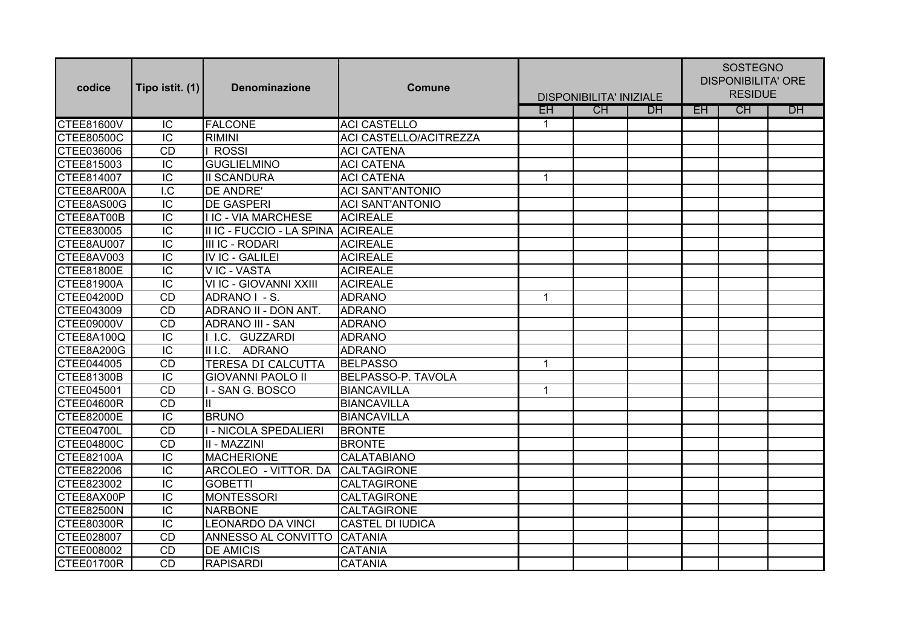| codice            | Tipo istit. (1) | <b>Denominazione</b>       | <b>Comune</b>           | <b>DISPONIBILITA' INIZIALE</b> |    |           | <b>SOSTEGNO</b><br><b>DISPONIBILITA' ORE</b><br><b>RESIDUE</b> |    |    |
|-------------------|-----------------|----------------------------|-------------------------|--------------------------------|----|-----------|----------------------------------------------------------------|----|----|
|                   |                 |                            |                         | EH                             | CH | <b>DH</b> | <b>EH</b>                                                      | CH | DH |
| <b>CTEE81600V</b> | $\overline{C}$  | <b>FALCONE</b>             | <b>ACI CASTELLO</b>     | $\mathbf{1}$                   |    |           |                                                                |    |    |
| CTEE80500C        | $\overline{C}$  | <b>RIMINI</b>              | ACI CASTELLO/ACITREZZA  |                                |    |           |                                                                |    |    |
| CTEE036006        | <b>CD</b>       | <b>ROSSI</b>               | <b>ACI CATENA</b>       |                                |    |           |                                                                |    |    |
| CTEE815003        | IC              | <b>GUGLIELMINO</b>         | <b>ACI CATENA</b>       |                                |    |           |                                                                |    |    |
| CTEE814007        | IC              | <b>II SCANDURA</b>         | <b>ACI CATENA</b>       | $\mathbf{1}$                   |    |           |                                                                |    |    |
| CTEE8AR00A        | I.C             | <b>DE ANDRE'</b>           | <b>ACI SANT'ANTONIO</b> |                                |    |           |                                                                |    |    |
| CTEE8AS00G        | IC              | <b>DE GASPERI</b>          | <b>ACI SANT'ANTONIO</b> |                                |    |           |                                                                |    |    |
| CTEE8AT00B        | IC              | <b>I IC - VIA MARCHESE</b> | <b>ACIREALE</b>         |                                |    |           |                                                                |    |    |
| CTEE830005        | IC              | II IC - FUCCIO - LA SPINA  | <b>ACIREALE</b>         |                                |    |           |                                                                |    |    |
| CTEE8AU007        | IC              | III IC - RODARI            | <b>ACIREALE</b>         |                                |    |           |                                                                |    |    |
| CTEE8AV003        | $\overline{C}$  | <b>IV IC - GALILEI</b>     | <b>ACIREALE</b>         |                                |    |           |                                                                |    |    |
| CTEE81800E        | $\overline{C}$  | V IC - VASTA               | <b>ACIREALE</b>         |                                |    |           |                                                                |    |    |
| <b>CTEE81900A</b> | IC              | VI IC - GIOVANNI XXIII     | <b>ACIREALE</b>         |                                |    |           |                                                                |    |    |
| <b>CTEE04200D</b> | <b>CD</b>       | ADRANO I - S.              | <b>ADRANO</b>           | $\mathbf 1$                    |    |           |                                                                |    |    |
| CTEE043009        | <b>CD</b>       | ADRANO II - DON ANT.       | <b>ADRANO</b>           |                                |    |           |                                                                |    |    |
| <b>CTEE09000V</b> | <b>CD</b>       | <b>ADRANO III - SAN</b>    | <b>ADRANO</b>           |                                |    |           |                                                                |    |    |
| CTEE8A100Q        | IC              | I I.C. GUZZARDI            | <b>ADRANO</b>           |                                |    |           |                                                                |    |    |
| CTEE8A200G        | IC              | II I.C.<br>ADRANO          | <b>ADRANO</b>           |                                |    |           |                                                                |    |    |
| CTEE044005        | CD              | TERESA DI CALCUTTA         | <b>BELPASSO</b>         | $\mathbf{1}$                   |    |           |                                                                |    |    |
| CTEE81300B        | $\overline{IC}$ | <b>GIOVANNI PAOLO II</b>   | BELPASSO-P. TAVOLA      |                                |    |           |                                                                |    |    |
| CTEE045001        | <b>CD</b>       | - SAN G. BOSCO             | <b>BIANCAVILLA</b>      | $\mathbf{1}$                   |    |           |                                                                |    |    |
| CTEE04600R        | <b>CD</b>       |                            | <b>BIANCAVILLA</b>      |                                |    |           |                                                                |    |    |
| CTEE82000E        | IC              | <b>BRUNO</b>               | BIANCAVILLA             |                                |    |           |                                                                |    |    |
| CTEE04700L        | <b>CD</b>       | I - NICOLA SPEDALIERI      | <b>BRONTE</b>           |                                |    |           |                                                                |    |    |
| CTEE04800C        | <b>CD</b>       | III - MAZZINI              | <b>BRONTE</b>           |                                |    |           |                                                                |    |    |
| <b>CTEE82100A</b> | IC              | <b>MACHERIONE</b>          | CALATABIANO             |                                |    |           |                                                                |    |    |
| CTEE822006        | IC              | ARCOLEO - VITTOR. DA       | <b>CALTAGIRONE</b>      |                                |    |           |                                                                |    |    |
| CTEE823002        | IC              | <b>GOBETTI</b>             | CALTAGIRONE             |                                |    |           |                                                                |    |    |
| CTEE8AX00P        | $\overline{C}$  | <b>MONTESSORI</b>          | CALTAGIRONE             |                                |    |           |                                                                |    |    |
| <b>CTEE82500N</b> | IC              | <b>NARBONE</b>             | CALTAGIRONE             |                                |    |           |                                                                |    |    |
| <b>CTEE80300R</b> | $\overline{C}$  | <b>LEONARDO DA VINCI</b>   | <b>CASTEL DI IUDICA</b> |                                |    |           |                                                                |    |    |
| CTEE028007        | <b>CD</b>       | ANNESSO AL CONVITTO        | <b>CATANIA</b>          |                                |    |           |                                                                |    |    |
| CTEE008002        | <b>CD</b>       | <b>DE AMICIS</b>           | <b>CATANIA</b>          |                                |    |           |                                                                |    |    |
| <b>CTEE01700R</b> | CD              | <b>RAPISARDI</b>           | <b>CATANIA</b>          |                                |    |           |                                                                |    |    |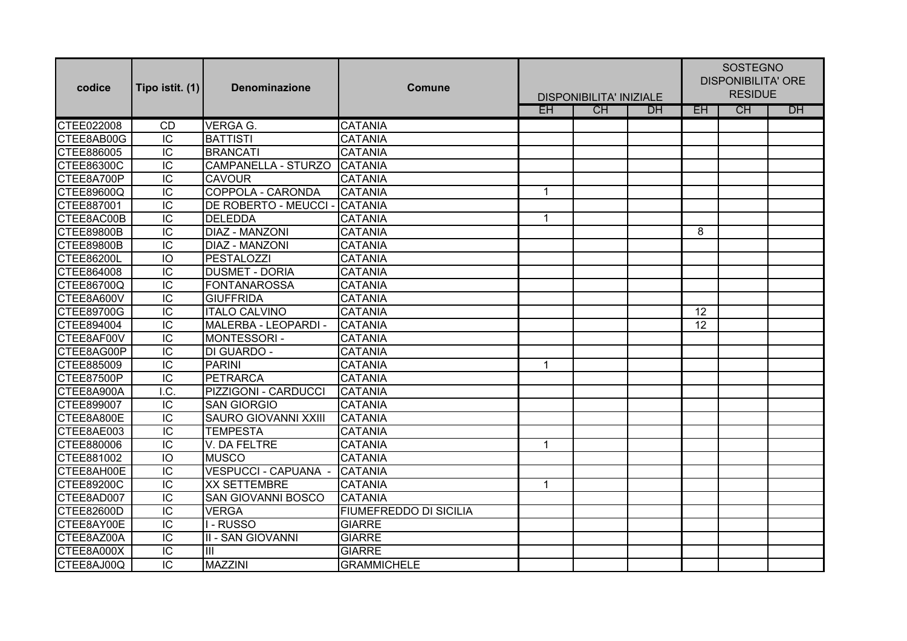| codice            | Tipo istit. (1)          | <b>Denominazione</b>        | <b>Comune</b>                 | <b>DISPONIBILITA' INIZIALE</b> |           |           | <b>SOSTEGNO</b><br><b>DISPONIBILITA' ORE</b><br><b>RESIDUE</b> |    |           |
|-------------------|--------------------------|-----------------------------|-------------------------------|--------------------------------|-----------|-----------|----------------------------------------------------------------|----|-----------|
|                   |                          |                             |                               | EH                             | <b>CH</b> | <b>DH</b> | EH.                                                            | CH | <b>DH</b> |
| CTEE022008        | <b>CD</b>                | <b>VERGA G.</b>             | <b>CATANIA</b>                |                                |           |           |                                                                |    |           |
| CTEE8AB00G        | $\overline{C}$           | <b>BATTISTI</b>             | <b>CATANIA</b>                |                                |           |           |                                                                |    |           |
| CTEE886005        | $\overline{IC}$          | <b>BRANCATI</b>             | <b>CATANIA</b>                |                                |           |           |                                                                |    |           |
| CTEE86300C        | $\overline{IC}$          | <b>CAMPANELLA - STURZO</b>  | <b>CATANIA</b>                |                                |           |           |                                                                |    |           |
| CTEE8A700P        | $\overline{IC}$          | <b>CAVOUR</b>               | <b>CATANIA</b>                |                                |           |           |                                                                |    |           |
| CTEE89600Q        | $\overline{IC}$          | <b>COPPOLA - CARONDA</b>    | <b>CATANIA</b>                | $\overline{1}$                 |           |           |                                                                |    |           |
| CTEE887001        | $\overline{C}$           | DE ROBERTO - MEUCCI -       | CATANIA                       |                                |           |           |                                                                |    |           |
| CTEE8AC00B        | $\overline{C}$           | <b>DELEDDA</b>              | <b>CATANIA</b>                | $\mathbf{1}$                   |           |           |                                                                |    |           |
| <b>CTEE89800B</b> | $\overline{C}$           | <b>DIAZ - MANZONI</b>       | <b>CATANIA</b>                |                                |           |           | 8                                                              |    |           |
| <b>CTEE89800B</b> | $\overline{C}$           | <b>DIAZ - MANZONI</b>       | <b>CATANIA</b>                |                                |           |           |                                                                |    |           |
| <b>CTEE86200L</b> | IO                       | <b>PESTALOZZI</b>           | <b>CATANIA</b>                |                                |           |           |                                                                |    |           |
| CTEE864008        | $\overline{C}$           | <b>DUSMET - DORIA</b>       | <b>CATANIA</b>                |                                |           |           |                                                                |    |           |
| CTEE86700Q        | $\overline{C}$           | <b>FONTANAROSSA</b>         | <b>CATANIA</b>                |                                |           |           |                                                                |    |           |
| CTEE8A600V        | $\overline{IC}$          | <b>GIUFFRIDA</b>            | <b>CATANIA</b>                |                                |           |           |                                                                |    |           |
| <b>CTEE89700G</b> | $\overline{C}$           | <b>ITALO CALVINO</b>        | <b>CATANIA</b>                |                                |           |           | 12                                                             |    |           |
| CTEE894004        | $\overline{IC}$          | MALERBA - LEOPARDI -        | <b>CATANIA</b>                |                                |           |           | $\overline{12}$                                                |    |           |
| CTEE8AF00V        | $\overline{C}$           | MONTESSORI-                 | <b>CATANIA</b>                |                                |           |           |                                                                |    |           |
| CTEE8AG00P        | $\overline{IC}$          | DI GUARDO -                 | <b>CATANIA</b>                |                                |           |           |                                                                |    |           |
| CTEE885009        | $\overline{IC}$          | <b>PARINI</b>               | <b>CATANIA</b>                | $\mathbf 1$                    |           |           |                                                                |    |           |
| <b>CTEE87500P</b> | $\overline{IC}$          | <b>PETRARCA</b>             | <b>CATANIA</b>                |                                |           |           |                                                                |    |           |
| CTEE8A900A        | $\overline{\mathsf{LC}}$ | PIZZIGONI - CARDUCCI        | <b>CATANIA</b>                |                                |           |           |                                                                |    |           |
| CTEE899007        | $\overline{C}$           | <b>SAN GIORGIO</b>          | <b>CATANIA</b>                |                                |           |           |                                                                |    |           |
| CTEE8A800E        | IC                       | <b>SAURO GIOVANNI XXIII</b> | <b>CATANIA</b>                |                                |           |           |                                                                |    |           |
| CTEE8AE003        | IC                       | <b>TEMPESTA</b>             | <b>CATANIA</b>                |                                |           |           |                                                                |    |           |
| CTEE880006        | IC                       | V. DA FELTRE                | <b>CATANIA</b>                | $\overline{1}$                 |           |           |                                                                |    |           |
| CTEE881002        | IO                       | <b>MUSCO</b>                | <b>CATANIA</b>                |                                |           |           |                                                                |    |           |
| CTEE8AH00E        | IC                       | VESPUCCI - CAPUANA -        | <b>CATANIA</b>                |                                |           |           |                                                                |    |           |
| <b>CTEE89200C</b> | IC                       | <b>XX SETTEMBRE</b>         | <b>CATANIA</b>                | $\mathbf 1$                    |           |           |                                                                |    |           |
| CTEE8AD007        | IC                       | <b>SAN GIOVANNI BOSCO</b>   | <b>CATANIA</b>                |                                |           |           |                                                                |    |           |
| <b>CTEE82600D</b> | $\overline{C}$           | <b>VERGA</b>                | <b>FIUMEFREDDO DI SICILIA</b> |                                |           |           |                                                                |    |           |
| CTEE8AY00E        | IC                       | - RUSSO                     | <b>GIARRE</b>                 |                                |           |           |                                                                |    |           |
| CTEE8AZ00A        | IC                       | <b>II - SAN GIOVANNI</b>    | <b>GIARRE</b>                 |                                |           |           |                                                                |    |           |
| CTEE8A000X        | IC                       | III                         | <b>GIARRE</b>                 |                                |           |           |                                                                |    |           |
| CTEE8AJ00Q        | $\overline{IC}$          | <b>MAZZINI</b>              | <b>GRAMMICHELE</b>            |                                |           |           |                                                                |    |           |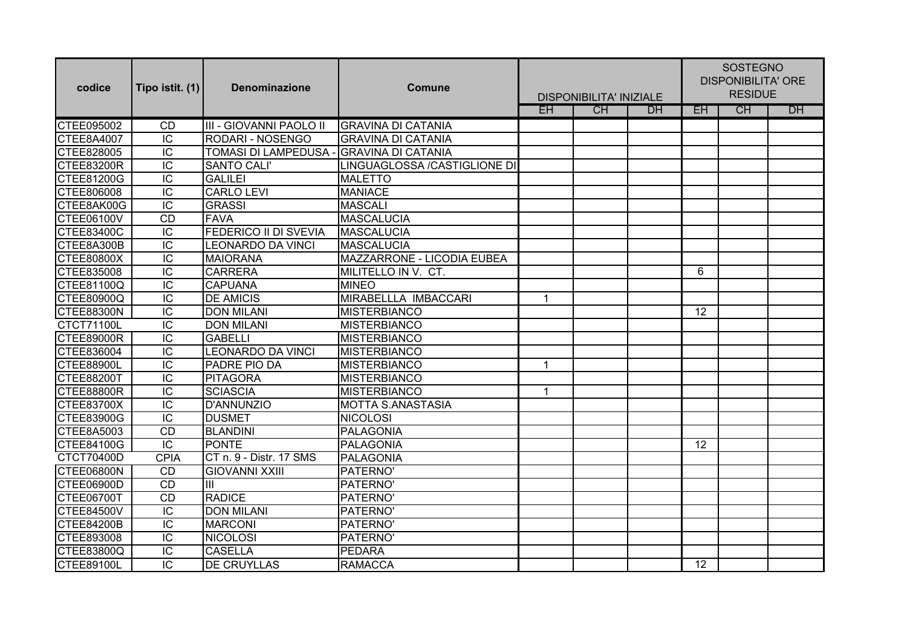| codice            | Tipo istit. (1) | <b>Denominazione</b>     | <b>Comune</b>                | <b>DISPONIBILITA' INIZIALE</b> |    |           | <b>SOSTEGNO</b><br><b>DISPONIBILITA' ORE</b><br><b>RESIDUE</b> |    |           |
|-------------------|-----------------|--------------------------|------------------------------|--------------------------------|----|-----------|----------------------------------------------------------------|----|-----------|
|                   |                 |                          |                              | <b>EH</b>                      | CH | <b>DH</b> | EH                                                             | CH | <b>DH</b> |
| CTEE095002        | <b>CD</b>       | III - GIOVANNI PAOLO II  | <b>GRAVINA DI CATANIA</b>    |                                |    |           |                                                                |    |           |
| CTEE8A4007        | $\overline{C}$  | <b>RODARI - NOSENGO</b>  | <b>GRAVINA DI CATANIA</b>    |                                |    |           |                                                                |    |           |
| CTEE828005        | $\overline{C}$  | TOMASI DI LAMPEDUSA -    | <b>GRAVINA DI CATANIA</b>    |                                |    |           |                                                                |    |           |
| <b>CTEE83200R</b> | $\overline{C}$  | <b>SANTO CALI'</b>       | LINGUAGLOSSA /CASTIGLIONE DI |                                |    |           |                                                                |    |           |
| CTEE81200G        | $\overline{C}$  | <b>GALILEI</b>           | <b>MALETTO</b>               |                                |    |           |                                                                |    |           |
| CTEE806008        | $\overline{C}$  | <b>CARLO LEVI</b>        | <b>MANIACE</b>               |                                |    |           |                                                                |    |           |
| CTEE8AK00G        | $\overline{C}$  | <b>GRASSI</b>            | <b>MASCALI</b>               |                                |    |           |                                                                |    |           |
| CTEE06100V        | <b>CD</b>       | <b>FAVA</b>              | MASCALUCIA                   |                                |    |           |                                                                |    |           |
| CTEE83400C        | IC              | FEDERICO II DI SVEVIA    | MASCALUCIA                   |                                |    |           |                                                                |    |           |
| CTEE8A300B        | $\overline{C}$  | <b>LEONARDO DA VINCI</b> | <b>MASCALUCIA</b>            |                                |    |           |                                                                |    |           |
| <b>CTEE80800X</b> | $\overline{C}$  | <b>MAIORANA</b>          | MAZZARRONE - LICODIA EUBEA   |                                |    |           |                                                                |    |           |
| CTEE835008        | IC              | <b>CARRERA</b>           | MILITELLO IN V. CT.          |                                |    |           | 6                                                              |    |           |
| <b>CTEE81100Q</b> | $\overline{C}$  | <b>CAPUANA</b>           | <b>MINEO</b>                 |                                |    |           |                                                                |    |           |
| <b>CTEE80900Q</b> | $\overline{IC}$ | <b>DE AMICIS</b>         | MIRABELLLA IMBACCARI         | $\overline{1}$                 |    |           |                                                                |    |           |
| <b>CTEE88300N</b> | $\overline{C}$  | <b>DON MILANI</b>        | <b>MISTERBIANCO</b>          |                                |    |           | 12                                                             |    |           |
| CTCT71100L        | $\overline{C}$  | <b>DON MILANI</b>        | <b>MISTERBIANCO</b>          |                                |    |           |                                                                |    |           |
| CTEE89000R        | $\overline{C}$  | <b>GABELLI</b>           | MISTERBIANCO                 |                                |    |           |                                                                |    |           |
| CTEE836004        | $\overline{IC}$ | <b>LEONARDO DA VINCI</b> | <b>MISTERBIANCO</b>          |                                |    |           |                                                                |    |           |
| <b>CTEE88900L</b> | $\overline{IC}$ | PADRE PIO DA             | <b>MISTERBIANCO</b>          | $\mathbf 1$                    |    |           |                                                                |    |           |
| <b>CTEE88200T</b> | $\overline{C}$  | PITAGORA                 | <b>MISTERBIANCO</b>          |                                |    |           |                                                                |    |           |
| <b>CTEE88800R</b> | $\overline{C}$  | <b>SCIASCIA</b>          | <b>MISTERBIANCO</b>          | $\overline{1}$                 |    |           |                                                                |    |           |
| CTEE83700X        | $\overline{C}$  | D'ANNUNZIO               | <b>MOTTA S.ANASTASIA</b>     |                                |    |           |                                                                |    |           |
| CTEE83900G        | IC              | <b>DUSMET</b>            | <b>NICOLOSI</b>              |                                |    |           |                                                                |    |           |
| CTEE8A5003        | CD              | BLANDINI                 | PALAGONIA                    |                                |    |           |                                                                |    |           |
| <b>CTEE84100G</b> | IC              | <b>PONTE</b>             | PALAGONIA                    |                                |    |           | 12                                                             |    |           |
| <b>CTCT70400D</b> | <b>CPIA</b>     | CT n. 9 - Distr. 17 SMS  | <b>PALAGONIA</b>             |                                |    |           |                                                                |    |           |
| CTEE06800N        | CD              | <b>GIOVANNI XXIII</b>    | PATERNO'                     |                                |    |           |                                                                |    |           |
| CTEE06900D        | CD              | III                      | PATERNO'                     |                                |    |           |                                                                |    |           |
| CTEE06700T        | CD              | <b>RADICE</b>            | PATERNO'                     |                                |    |           |                                                                |    |           |
| <b>CTEE84500V</b> | $\overline{C}$  | <b>DON MILANI</b>        | PATERNO'                     |                                |    |           |                                                                |    |           |
| <b>CTEE84200B</b> | $\overline{C}$  | <b>MARCONI</b>           | PATERNO'                     |                                |    |           |                                                                |    |           |
| CTEE893008        | IC              | <b>NICOLOSI</b>          | PATERNO'                     |                                |    |           |                                                                |    |           |
| CTEE83800Q        | IC              | <b>CASELLA</b>           | <b>PEDARA</b>                |                                |    |           |                                                                |    |           |
| <b>CTEE89100L</b> | $\overline{IC}$ | <b>DE CRUYLLAS</b>       | <b>RAMACCA</b>               |                                |    |           | 12                                                             |    |           |